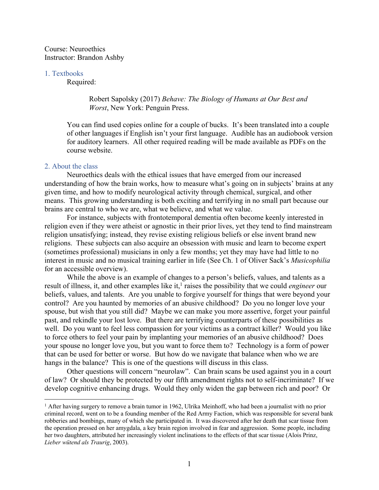Course: Neuroethics Instructor: Brandon Ashby

#### 1. Textbooks

Required:

#### Robert Sapolsky (2017) *Behave: The Biology of Humans at Our Best and Worst*, New York: Penguin Press.

You can find used copies online for a couple of bucks. It's been translated into a couple of other languages if English isn't your first language. Audible has an audiobook version for auditory learners. All other required reading will be made available as PDFs on the course website.

#### 2. About the class

Neuroethics deals with the ethical issues that have emerged from our increased understanding of how the brain works, how to measure what's going on in subjects' brains at any given time, and how to modify neurological activity through chemical, surgical, and other means. This growing understanding is both exciting and terrifying in no small part because our brains are central to who we are, what we believe, and what we value.

For instance, subjects with frontotemporal dementia often become keenly interested in religion even if they were atheist or agnostic in their prior lives, yet they tend to find mainstream religion unsatisfying; instead, they revise existing religious beliefs or else invent brand new religions. These subjects can also acquire an obsession with music and learn to become expert (sometimes professional) musicians in only a few months; yet they may have had little to no interest in music and no musical training earlier in life (See Ch. 1 of Oliver Sack's *Musicophilia* for an accessible overview).

While the above is an example of changes to a person's beliefs, values, and talents as a result of illness, it, and other examples like it, <sup>1</sup> raises the possibility that we could *engineer* our beliefs, values, and talents. Are you unable to forgive yourself for things that were beyond your control? Are you haunted by memories of an abusive childhood? Do you no longer love your spouse, but wish that you still did? Maybe we can make you more assertive, forget your painful past, and rekindle your lost love. But there are terrifying counterparts of these possibilities as well. Do you want to feel less compassion for your victims as a contract killer? Would you like to force others to feel your pain by implanting your memories of an abusive childhood? Does your spouse no longer love you, but you want to force them to? Technology is a form of power that can be used for better or worse. But how do we navigate that balance when who we are hangs in the balance? This is one of the questions will discuss in this class.

Other questions will concern "neurolaw". Can brain scans be used against you in a court of law? Or should they be protected by our fifth amendment rights not to self-incriminate? If we develop cognitive enhancing drugs. Would they only widen the gap between rich and poor? Or

<sup>&</sup>lt;sup>1</sup> After having surgery to remove a brain tumor in 1962, Ulrika Meinhoff, who had been a journalist with no prior criminal record, went on to be a founding member of the Red Army Faction, which was responsible for several bank robberies and bombings, many of which she participated in. It was discovered after her death that scar tissue from the operation pressed on her amygdala, a key brain region involved in fear and aggression. Some people, including her two daughters, attributed her increasingly violent inclinations to the effects of that scar tissue (Alois Prinz, *Lieber wütend als Traurig*, 2003).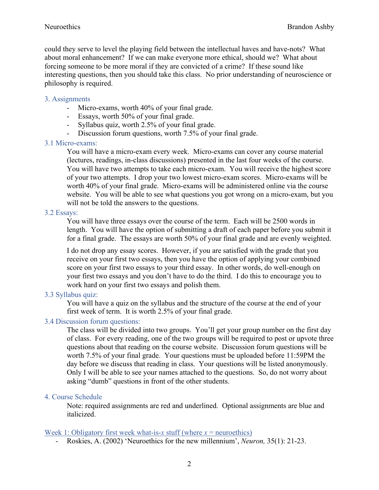could they serve to level the playing field between the intellectual haves and have-nots? What about moral enhancement? If we can make everyone more ethical, should we? What about forcing someone to be more moral if they are convicted of a crime? If these sound like interesting questions, then you should take this class. No prior understanding of neuroscience or philosophy is required.

## 3. Assignments

- Micro-exams, worth 40% of your final grade.
- Essays, worth 50% of your final grade.
- Syllabus quiz, worth 2.5% of your final grade.
- Discussion forum questions, worth 7.5% of your final grade.

## 3.1 Micro-exams:

You will have a micro-exam every week. Micro-exams can cover any course material (lectures, readings, in-class discussions) presented in the last four weeks of the course. You will have two attempts to take each micro-exam. You will receive the highest score of your two attempts. I drop your two lowest micro-exam scores. Micro-exams will be worth 40% of your final grade. Micro-exams will be administered online via the course website. You will be able to see what questions you got wrong on a micro-exam, but you will not be told the answers to the questions.

## 3.2 Essays:

You will have three essays over the course of the term. Each will be 2500 words in length. You will have the option of submitting a draft of each paper before you submit it for a final grade. The essays are worth 50% of your final grade and are evenly weighted.

I do not drop any essay scores. However, if you are satisfied with the grade that you receive on your first two essays, then you have the option of applying your combined score on your first two essays to your third essay. In other words, do well-enough on your first two essays and you don't have to do the third. I do this to encourage you to work hard on your first two essays and polish them.

## 3.3 Syllabus quiz:

You will have a quiz on the syllabus and the structure of the course at the end of your first week of term. It is worth 2.5% of your final grade.

## 3.4 Discussion forum questions:

The class will be divided into two groups. You'll get your group number on the first day of class. For every reading, one of the two groups will be required to post or upvote three questions about that reading on the course website. Discussion forum questions will be worth 7.5% of your final grade. Your questions must be uploaded before 11:59PM the day before we discuss that reading in class. Your questions will be listed anonymously. Only I will be able to see your names attached to the questions. So, do not worry about asking "dumb" questions in front of the other students.

### 4. Course Schedule

Note: required assignments are red and underlined. Optional assignments are blue and italicized.

### Week 1: Obligatory first week what-is-*x* stuff (where  $x =$  neuroethics)

Roskies, A. (2002) 'Neuroethics for the new millennium', *Neuron*, 35(1): 21-23.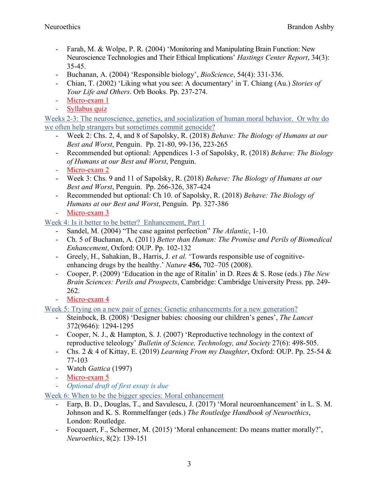- Farah, M. & Wolpe, P. R. (2004) 'Monitoring and Manipulating Brain Function: New Neuroscience Technologies and Their Ethical Implications' *Hastings Center Report*, 34(3): 35-45.
- Buchanan, A. (2004) 'Responsible biology', *BioScience*, 54(4): 331-336.
- Chian, T. (2002) 'Liking what you see: A documentary' in T. Chiang (Au.) *Stories of Your Life and Others*. Orb Books. Pp. 237-274.
- Micro-exam 1
- Syllabus quiz

Weeks 2-3: The neuroscience, genetics, and socialization of human moral behavior. Or why do we often help strangers but sometimes commit genocide?

- Week 2: Chs. 2, 4, and 8 of Sapolsky, R. (2018) *Behave: The Biology of Humans at our Best and Worst*, Penguin. Pp. 21-80, 99-136, 223-265
- Recommended but optional: Appendices 1-3 of Sapolsky, R. (2018) *Behave: The Biology of Humans at our Best and Worst*, Penguin.
- Micro-exam 2
- Week 3: Chs. 9 and 11 of Sapolsky, R. (2018) *Behave: The Biology of Humans at our Best and Worst*, Penguin. Pp. 266-326, 387-424
- Recommended but optional: Ch 10. of Sapolsky, R. (2018) *Behave: The Biology of Humans at our Best and Worst*, Penguin. Pp. 327-386
- Micro-exam 3

Week 4: Is it better to be better? Enhancement, Part 1

- Sandel, M. (2004) "The case against perfection" *The Atlantic*, 1-10.
- Ch. 5 of Buchanan, A. (2011) *Better than Human: The Promise and Perils of Biomedical Enhancement*, Oxford: OUP. Pp. 102-132
- Greely, H., Sahakian, B., Harris, J. *et al.* 'Towards responsible use of cognitiveenhancing drugs by the healthy.' *Nature* **456,** 702–705 (2008).
- Cooper, P. (2009) 'Education in the age of Ritalin' in D. Rees & S. Rose (eds.) *The New Brain Sciences: Perils and Prospects*, Cambridge: Cambridge University Press. pp. 249- 262.
- Micro-exam 4

Week 5: Trying on a new pair of genes: Genetic enhancements for a new generation?

- Steinbock, B. (2008) 'Designer babies: choosing our children's genes', *The Lancet* 372(9646): 1294-1295
- Cooper, N. J., & Hampton, S. J. (2007) 'Reproductive technology in the context of reproductive teleology' *Bulletin of Science, Technology, and Society* 27(6): 498-505.
- Chs. 2 & 4 of Kittay, E. (2019) *Learning From my Daughter*, Oxford: OUP. Pp. 25-54 & 77-103
- Watch *Gattica* (1997)
- Micro-exam 5
- *Optional draft of first essay is due*

Week 6: When to be the bigger species: Moral enhancement

- Earp, B. D., Douglas, T., and Savulescu, J. (2017) 'Moral neuroenhancement' in L. S. M. Johnson and K. S. Rommelfanger (eds.) *The Routledge Handbook of Neuroethics*, London: Routledge.
- Focquaert, F., Schermer, M. (2015) 'Moral enhancement: Do means matter morally?', *Neuroethics*, 8(2): 139-151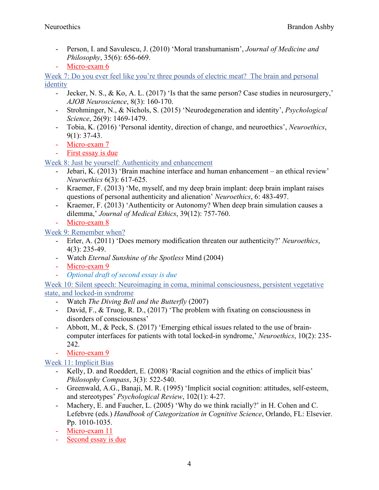- Person, I. and Savulescu, J. (2010) 'Moral transhumanism', *Journal of Medicine and Philosophy*, 35(6): 656-669.
- Micro-exam 6

Week 7: Do you ever feel like you're three pounds of electric meat? The brain and personal identity

- Jecker, N. S., & Ko, A. L. (2017) 'Is that the same person? Case studies in neurosurgery,' *AJOB Neuroscience*, 8(3): 160-170.
- Strohminger, N., & Nichols, S. (2015) 'Neurodegeneration and identity', *Psychological Science*, 26(9): 1469-1479.
- Tobia, K. (2016) 'Personal identity, direction of change, and neuroethics', *Neuroethics*, 9(1): 37-43.
- Micro-exam 7
- First essay is due

Week 8: Just be yourself: Authenticity and enhancement

- Jebari, K. (2013) 'Brain machine interface and human enhancement an ethical review' *Neuroethics* 6(3): 617-625.
- Kraemer, F. (2013) 'Me, myself, and my deep brain implant: deep brain implant raises questions of personal authenticity and alienation' *Neuroethics*, 6: 483-497.
- Kraemer, F. (2013) 'Authenticity or Autonomy? When deep brain simulation causes a dilemma,' *Journal of Medical Ethics*, 39(12): 757-760.
- Micro-exam 8

Week 9: Remember when?

- Erler, A. (2011) 'Does memory modification threaten our authenticity?' *Neuroethics*, 4(3): 235-49.
- Watch *Eternal Sunshine of the Spotless* Mind (2004)
- Micro-exam 9
- *Optional draft of second essay is due*

Week 10: Silent speech: Neuroimaging in coma, minimal consciousness, persistent vegetative state, and locked-in syndrome

- Watch *The Diving Bell and the Butterfly* (2007)
- David, F., & Truog, R. D., (2017) 'The problem with fixating on consciousness in disorders of consciousness'
- Abbott, M., & Peck, S. (2017) 'Emerging ethical issues related to the use of braincomputer interfaces for patients with total locked-in syndrome,' *Neuroethics*, 10(2): 235- 242.
- Micro-exam 9

# Week 11: Implicit Bias

- Kelly, D. and Roeddert, E. (2008) 'Racial cognition and the ethics of implicit bias' *Philosophy Compass*, 3(3): 522-540.
- Greenwald, A.G., Banaji, M. R. (1995) 'Implicit social cognition: attitudes, self-esteem, and stereotypes' *Psychological Review*, 102(1): 4-27.
- Machery, E. and Faucher, L. (2005) 'Why do we think racially?' in H. Cohen and C. Lefebvre (eds.) *Handbook of Categorization in Cognitive Science*, Orlando, FL: Elsevier. Pp. 1010-1035.
- Micro-exam 11
- Second essay is due